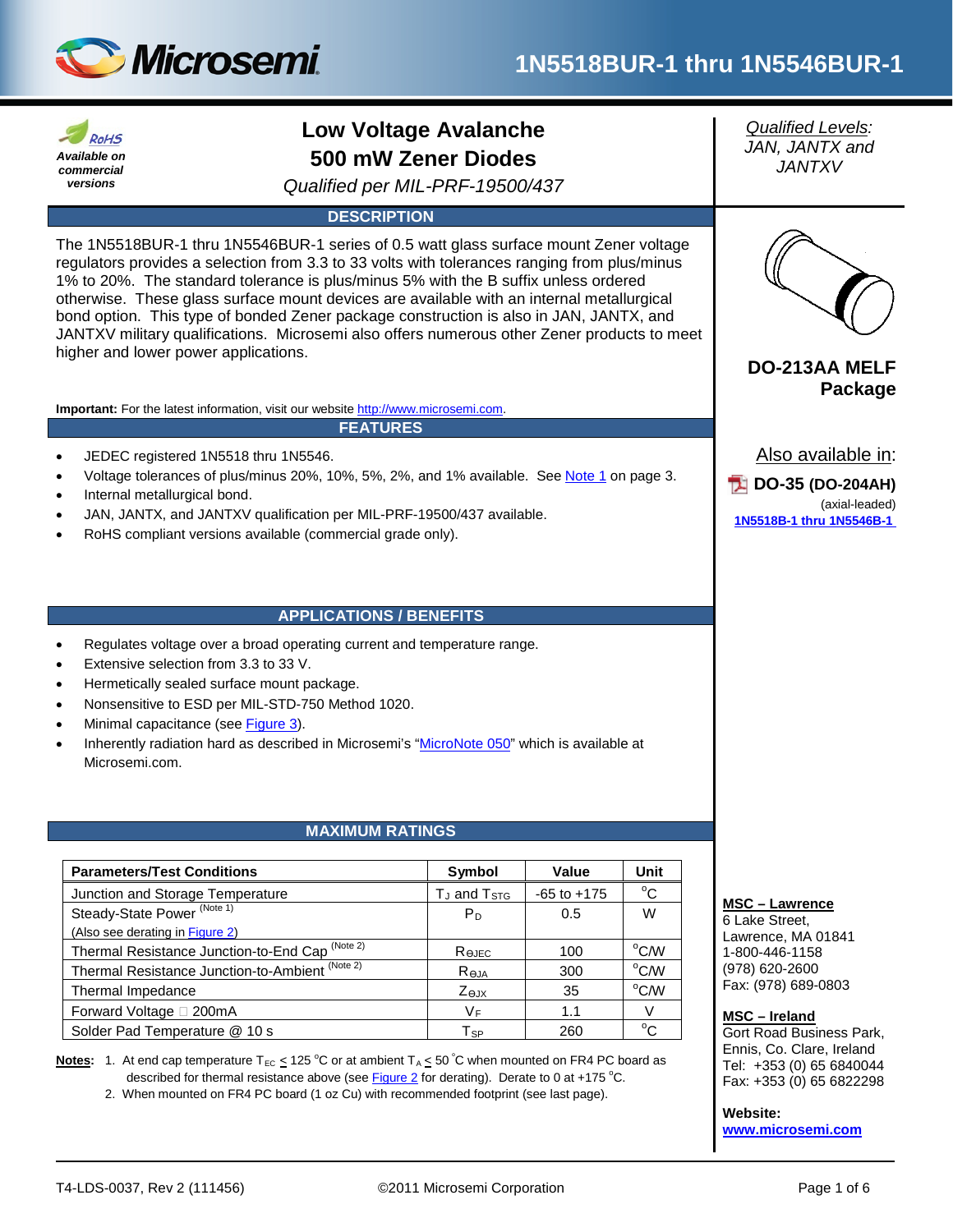



# **Low Voltage Avalanche 500 mW Zener Diodes**

*Qualified per MIL-PRF-19500/437*

# **DESCRIPTION**

The 1N5518BUR-1 thru 1N5546BUR-1 series of 0.5 watt glass surface mount Zener voltage regulators provides a selection from 3.3 to 33 volts with tolerances ranging from plus/minus 1% to 20%. The standard tolerance is plus/minus 5% with the B suffix unless ordered otherwise. These glass surface mount devices are available with an internal metallurgical bond option. This type of bonded Zener package construction is also in JAN, JANTX, and JANTXV military qualifications. Microsemi also offers numerous other Zener products to meet higher and lower power applications. **DO-213AA MELF**

**Important:** For the latest information, visit our website [http://www.microsemi.com.](http://www.microsemi.com/)

**FEATURES**

- JEDEC registered 1N5518 thru 1N5546.
- Voltage tolerances of plus/minus 20%, 10%, 5%, 2%, and 1% available. See [Note 1](#page-2-0) on page 3.
- Internal metallurgical bond.
- JAN, JANTX, and JANTXV qualification per MIL-PRF-19500/437 available.
- RoHS compliant versions available (commercial grade only).

# **APPLICATIONS / BENEFITS**

- Regulates voltage over a broad operating current and temperature range.
- Extensive selection from 3.3 to 33 V.
- Hermetically sealed surface mount package.
- Nonsensitive to ESD per MIL-STD-750 Method 1020.
- Minimal capacitance (see [Figure 3\)](#page-3-0).
- Inherently radiation hard as described in Microsemi's ["MicroNote 050"](http://www.microsemi.com/en/sites/default/files/micnotes/050.pdf) which is available at Microsemi.com.

# **MAXIMUM RATINGS**

| <b>Parameters/Test Conditions</b>                          | Symbol                            | Value           | Unit           |
|------------------------------------------------------------|-----------------------------------|-----------------|----------------|
| Junction and Storage Temperature                           | $T_J$ and $T_{STG}$               | $-65$ to $+175$ | $^{\circ}C$    |
| Steady-State Power <sup>(Note 1)</sup>                     | P <sub>D</sub>                    | 0.5             | W              |
| (Also see derating in Figure 2)                            |                                   |                 |                |
| Thermal Resistance Junction-to-End Cap <sup>(Note 2)</sup> | $\mathsf{R}_{\Theta\mathsf{JEC}}$ | 100             | $^{\circ}$ CM  |
| Thermal Resistance Junction-to-Ambient (Note 2)            | $R_{\Theta,IA}$                   | 300             | °C/W           |
| Thermal Impedance                                          | $Z_{\theta, JX}$                  | 35              | $^{\circ}$ C/W |
| Forward Voltage □ 200mA                                    | VF.                               | 1.1             | V              |
| Solder Pad Temperature @ 10 s                              | ${\sf T}_{\sf SP}$                | 260             | °C.            |

**Notes:** 1. At end cap temperature T<sub>EC</sub>  $\leq$  125 °C or at ambient T<sub>A</sub>  $\leq$  50 °C when mounted on FR4 PC board as described for thermal resistance above (see [Figure 2](#page-3-1) for derating). Derate to 0 at +175 °C.

2. When mounted on FR4 PC board (1 oz Cu) with recommended footprint (see last page).

*Qualified Levels: JAN, JANTX and JANTXV*



# **Package**

Also available in:

**DO-35 (DO-204AH)** (axial-leaded) **1N5518B-1 [thru 1N5546B-1](http://www.microsemi.com/en/products/product-directory/3636)**

#### **MSC – Lawrence**

6 Lake Street, Lawrence, MA 01841 1-800-446-1158 (978) 620-2600 Fax: (978) 689-0803

#### **MSC – Ireland**

Gort Road Business Park, Ennis, Co. Clare, Ireland Tel: +353 (0) 65 6840044 Fax: +353 (0) 65 6822298

**Website:** 

**[www.microsemi.com](http://www.microsemi.com/)**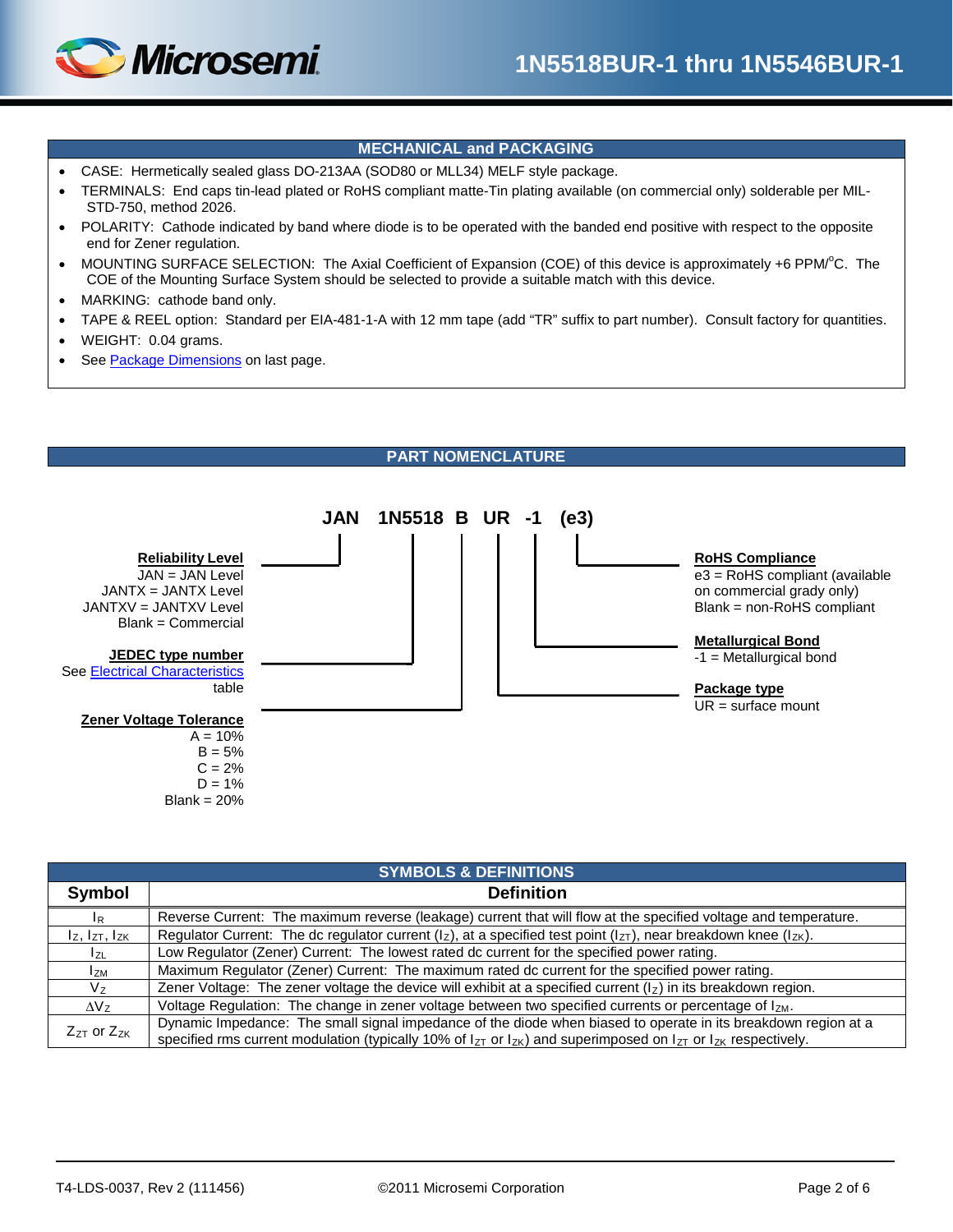

# **MECHANICAL and PACKAGING**

- CASE: Hermetically sealed glass DO-213AA (SOD80 or MLL34) MELF style package.
- TERMINALS: End caps tin-lead plated or RoHS compliant matte-Tin plating available (on commercial only) solderable per MIL-STD-750, method 2026.
- POLARITY: Cathode indicated by band where diode is to be operated with the banded end positive with respect to the opposite end for Zener regulation.
- MOUNTING SURFACE SELECTION: The Axial Coefficient of Expansion (COE) of this device is approximately +6 PPM/°C. The COE of the Mounting Surface System should be selected to provide a suitable match with this device.
- MARKING: cathode band only.
- TAPE & REEL option: Standard per EIA-481-1-A with 12 mm tape (add "TR" suffix to part number). Consult factory for quantities.
- WEIGHT: 0.04 grams.
- Se[e Package Dimensions](#page-5-0) on last page.



| <b>SYMBOLS &amp; DEFINITIONS</b> |                                                                                                                                                                                                                                                    |  |  |  |
|----------------------------------|----------------------------------------------------------------------------------------------------------------------------------------------------------------------------------------------------------------------------------------------------|--|--|--|
| Symbol                           | <b>Definition</b>                                                                                                                                                                                                                                  |  |  |  |
| $I_R$                            | Reverse Current: The maximum reverse (leakage) current that will flow at the specified voltage and temperature.                                                                                                                                    |  |  |  |
| $I_z$ , $I_{ZT}$ , $I_{ZK}$      | Regulator Current: The dc regulator current ( $ z\rangle$ , at a specified test point ( $ z_T\rangle$ , near breakdown knee ( $ z_K\rangle$ .                                                                                                      |  |  |  |
| I <sub>ZL</sub>                  | Low Regulator (Zener) Current: The lowest rated dc current for the specified power rating.                                                                                                                                                         |  |  |  |
| l <sub>ZM</sub>                  | Maximum Regulator (Zener) Current: The maximum rated dc current for the specified power rating.                                                                                                                                                    |  |  |  |
| V <sub>7</sub>                   | Zener Voltage: The zener voltage the device will exhibit at a specified current $(l_z)$ in its breakdown region.                                                                                                                                   |  |  |  |
| $\Delta V_z$                     | Voltage Regulation: The change in zener voltage between two specified currents or percentage of IzM.                                                                                                                                               |  |  |  |
| $Z_{ZT}$ or $Z_{ZK}$             | Dynamic Impedance: The small signal impedance of the diode when biased to operate in its breakdown region at a<br>specified rms current modulation (typically 10% of $I_{ZT}$ or $I_{ZK}$ ) and superimposed on $I_{ZT}$ or $I_{ZK}$ respectively. |  |  |  |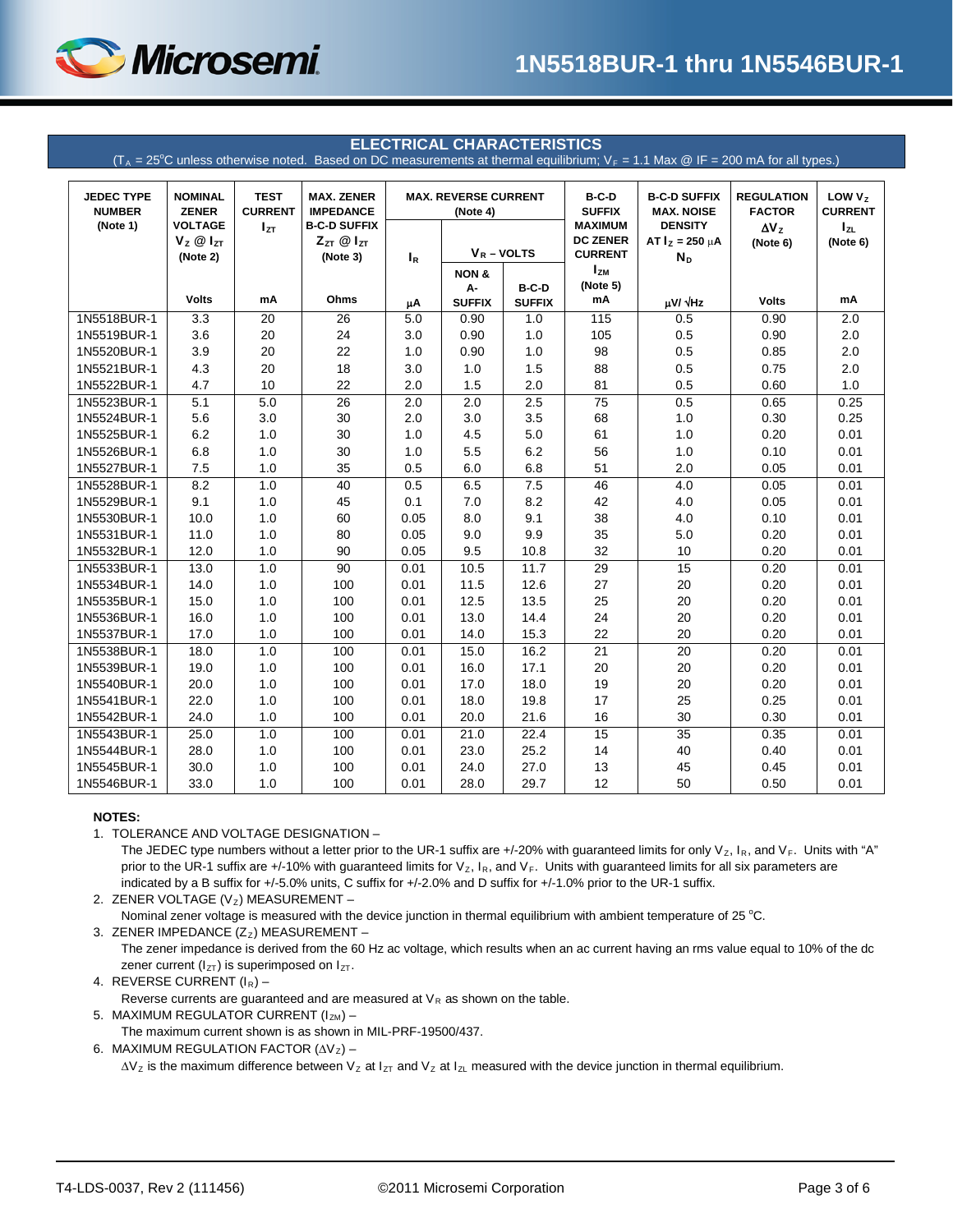

#### **ELECTRICAL CHARACTERISTICS**

 $(T_A = 25^{\circ}$ C unless otherwise noted. Based on DC measurements at thermal equilibrium;  $V_F = 1.1$  Max @ IF = 200 mA for all types.)

<span id="page-2-1"></span>

| <b>JEDEC TYPE</b><br><b>NUMBER</b> | <b>NOMINAL</b><br><b>ZENER</b>                     | <b>TEST</b><br><b>CURRENT</b> | <b>MAX. ZENER</b><br><b>IMPEDANCE</b>                    | <b>MAX. REVERSE CURRENT</b><br>(Note 4) |                       | $B-C-D$<br><b>SUFFIX</b> | <b>B-C-D SUFFIX</b><br><b>MAX. NOISE</b>            | <b>REGULATION</b><br><b>FACTOR</b>               | LOW $Vz$<br><b>CURRENT</b> |                      |
|------------------------------------|----------------------------------------------------|-------------------------------|----------------------------------------------------------|-----------------------------------------|-----------------------|--------------------------|-----------------------------------------------------|--------------------------------------------------|----------------------------|----------------------|
| (Note 1)                           | <b>VOLTAGE</b><br>$V_z \otimes I_{ZT}$<br>(Note 2) | $I_{ZT}$                      | <b>B-C-D SUFFIX</b><br>$Z_{ZT}$ $@$ $I_{ZT}$<br>(Note 3) | $I_R$                                   | $V_R$ – VOLTS         |                          | <b>MAXIMUM</b><br><b>DC ZENER</b><br><b>CURRENT</b> | <b>DENSITY</b><br>$AT IZ = 250 \mu A$<br>$N_{D}$ | $\Delta V_Z$<br>(Note 6)   | $I_{ZL}$<br>(Note 6) |
|                                    |                                                    |                               |                                                          |                                         | <b>NON &amp;</b>      |                          | $I_{ZM}$                                            |                                                  |                            |                      |
|                                    | <b>Volts</b>                                       | mA                            | Ohms                                                     |                                         | A-                    | B-C-D                    | (Note 5)<br>mA                                      | $\mu$ V/ $\sqrt{Hz}$                             | <b>Volts</b>               | mA                   |
| 1N5518BUR-1                        | 3.3                                                | 20                            | 26                                                       | μA<br>5.0                               | <b>SUFFIX</b><br>0.90 | <b>SUFFIX</b><br>1.0     | 115                                                 | 0.5                                              | 0.90                       | 2.0                  |
| 1N5519BUR-1                        | 3.6                                                | 20                            | 24                                                       | 3.0                                     | 0.90                  | 1.0                      | 105                                                 | 0.5                                              | 0.90                       | 2.0                  |
| 1N5520BUR-1                        | 3.9                                                | 20                            | 22                                                       | 1.0                                     | 0.90                  | 1.0                      | 98                                                  | 0.5                                              | 0.85                       | 2.0                  |
| 1N5521BUR-1                        | 4.3                                                | 20                            | 18                                                       | 3.0                                     | 1.0                   | 1.5                      | 88                                                  | 0.5                                              | 0.75                       | 2.0                  |
| 1N5522BUR-1                        | 4.7                                                | 10                            | 22                                                       | 2.0                                     | 1.5                   | 2.0                      | 81                                                  | 0.5                                              | 0.60                       | 1.0                  |
| 1N5523BUR-1                        | 5.1                                                | 5.0                           | 26                                                       | 2.0                                     | 2.0                   | 2.5                      | 75                                                  | 0.5                                              | 0.65                       | 0.25                 |
| 1N5524BUR-1                        | 5.6                                                | 3.0                           | 30                                                       | 2.0                                     | 3.0                   | 3.5                      | 68                                                  | 1.0                                              | 0.30                       | 0.25                 |
| 1N5525BUR-1                        | 6.2                                                | $1.0$                         | 30                                                       | 1.0                                     | 4.5                   | 5.0                      | 61                                                  | 1.0                                              | 0.20                       | 0.01                 |
| 1N5526BUR-1                        | 6.8                                                | 1.0                           | 30                                                       | 1.0                                     | 5.5                   | 6.2                      | 56                                                  | 1.0                                              | 0.10                       | 0.01                 |
| 1N5527BUR-1                        | 7.5                                                | 1.0                           | 35                                                       | 0.5                                     | 6.0                   | 6.8                      | 51                                                  | 2.0                                              | 0.05                       | 0.01                 |
| 1N5528BUR-1                        | 8.2                                                | 1.0                           | 40                                                       | 0.5                                     | 6.5                   | 7.5                      | 46                                                  | 4.0                                              | 0.05                       | 0.01                 |
| 1N5529BUR-1                        | 9.1                                                | 1.0                           | 45                                                       | 0.1                                     | 7.0                   | 8.2                      | 42                                                  | 4.0                                              | 0.05                       | 0.01                 |
| 1N5530BUR-1                        | 10.0                                               | 1.0                           | 60                                                       | 0.05                                    | 8.0                   | 9.1                      | 38                                                  | 4.0                                              | 0.10                       | 0.01                 |
| 1N5531BUR-1                        | 11.0                                               | 1.0                           | 80                                                       | 0.05                                    | 9.0                   | 9.9                      | 35                                                  | 5.0                                              | 0.20                       | 0.01                 |
| 1N5532BUR-1                        | 12.0                                               | 1.0                           | 90                                                       | 0.05                                    | 9.5                   | 10.8                     | 32                                                  | 10                                               | 0.20                       | 0.01                 |
| 1N5533BUR-1                        | 13.0                                               | 1.0                           | 90                                                       | 0.01                                    | 10.5                  | 11.7                     | 29                                                  | 15                                               | 0.20                       | 0.01                 |
| 1N5534BUR-1                        | 14.0                                               | 1.0                           | 100                                                      | 0.01                                    | 11.5                  | 12.6                     | 27                                                  | 20                                               | 0.20                       | 0.01                 |
| 1N5535BUR-1                        | 15.0                                               | 1.0                           | 100                                                      | 0.01                                    | 12.5                  | 13.5                     | 25                                                  | 20                                               | 0.20                       | 0.01                 |
| 1N5536BUR-1                        | 16.0                                               | 1.0                           | 100                                                      | 0.01                                    | 13.0                  | 14.4                     | 24                                                  | 20                                               | 0.20                       | 0.01                 |
| 1N5537BUR-1                        | 17.0                                               | 1.0                           | 100                                                      | 0.01                                    | 14.0                  | 15.3                     | 22                                                  | 20                                               | 0.20                       | 0.01                 |
| 1N5538BUR-1                        | 18.0                                               | 1.0                           | 100                                                      | 0.01                                    | 15.0                  | 16.2                     | $\overline{21}$                                     | $\overline{20}$                                  | 0.20                       | 0.01                 |
| 1N5539BUR-1                        | 19.0                                               | 1.0                           | 100                                                      | 0.01                                    | 16.0                  | 17.1                     | 20                                                  | 20                                               | 0.20                       | 0.01                 |
| 1N5540BUR-1                        | 20.0                                               | 1.0                           | 100                                                      | 0.01                                    | 17.0                  | 18.0                     | 19                                                  | 20                                               | 0.20                       | 0.01                 |
| 1N5541BUR-1                        | 22.0                                               | 1.0                           | 100                                                      | 0.01                                    | 18.0                  | 19.8                     | 17                                                  | 25                                               | 0.25                       | 0.01                 |
| 1N5542BUR-1                        | 24.0                                               | 1.0                           | 100                                                      | 0.01                                    | 20.0                  | 21.6                     | 16                                                  | 30                                               | 0.30                       | 0.01                 |
| 1N5543BUR-1                        | 25.0                                               | 1.0                           | 100                                                      | 0.01                                    | 21.0                  | 22.4                     | 15                                                  | 35                                               | 0.35                       | 0.01                 |
| 1N5544BUR-1                        | 28.0                                               | 1.0                           | 100                                                      | 0.01                                    | 23.0                  | 25.2                     | 14                                                  | 40                                               | 0.40                       | 0.01                 |
| 1N5545BUR-1                        | 30.0                                               | 1.0                           | 100                                                      | 0.01                                    | 24.0                  | 27.0                     | 13                                                  | 45                                               | 0.45                       | 0.01                 |
| 1N5546BUR-1                        | 33.0                                               | 1.0                           | 100                                                      | 0.01                                    | 28.0                  | 29.7                     | 12                                                  | 50                                               | 0.50                       | 0.01                 |

#### **NOTES:**

<span id="page-2-0"></span>1. TOLERANCE AND VOLTAGE DESIGNATION –

The JEDEC type numbers without a letter prior to the UR-1 suffix are +/-20% with guaranteed limits for only  $V_z$ ,  $I_R$ , and  $V_F$ . Units with "A" prior to the UR-1 suffix are +/-10% with guaranteed limits for  $V_z$ ,  $I_R$ , and  $V_F$ . Units with guaranteed limits for all six parameters are indicated by a B suffix for +/-5.0% units, C suffix for +/-2.0% and D suffix for +/-1.0% prior to the UR-1 suffix.

2. ZENER VOLTAGE ( $V_z$ ) MEASUREMENT -Nominal zener voltage is measured with the device junction in thermal equilibrium with ambient temperature of 25 °C.

3. ZENER IMPEDANCE  $(Z_z)$  MEASUREMENT – The zener impedance is derived from the 60 Hz ac voltage, which results when an ac current having an rms value equal to 10% of the dc zener current ( $I_{ZT}$ ) is superimposed on  $I_{ZT}$ .

4. REVERSE CURRENT  $(I_R)$  –

Reverse currents are guaranteed and are measured at  $V_R$  as shown on the table.

5. MAXIMUM REGULATOR CURRENT  $(I_{ZM})$  -

The maximum current shown is as shown in MIL-PRF-19500/437.

6. MAXIMUM REGULATION FACTOR  $(\Delta V_Z)$  –

 $\Delta V_Z$  is the maximum difference between V<sub>z</sub> at I<sub>ZT</sub> and V<sub>z</sub> at I<sub>ZL</sub> measured with the device junction in thermal equilibrium.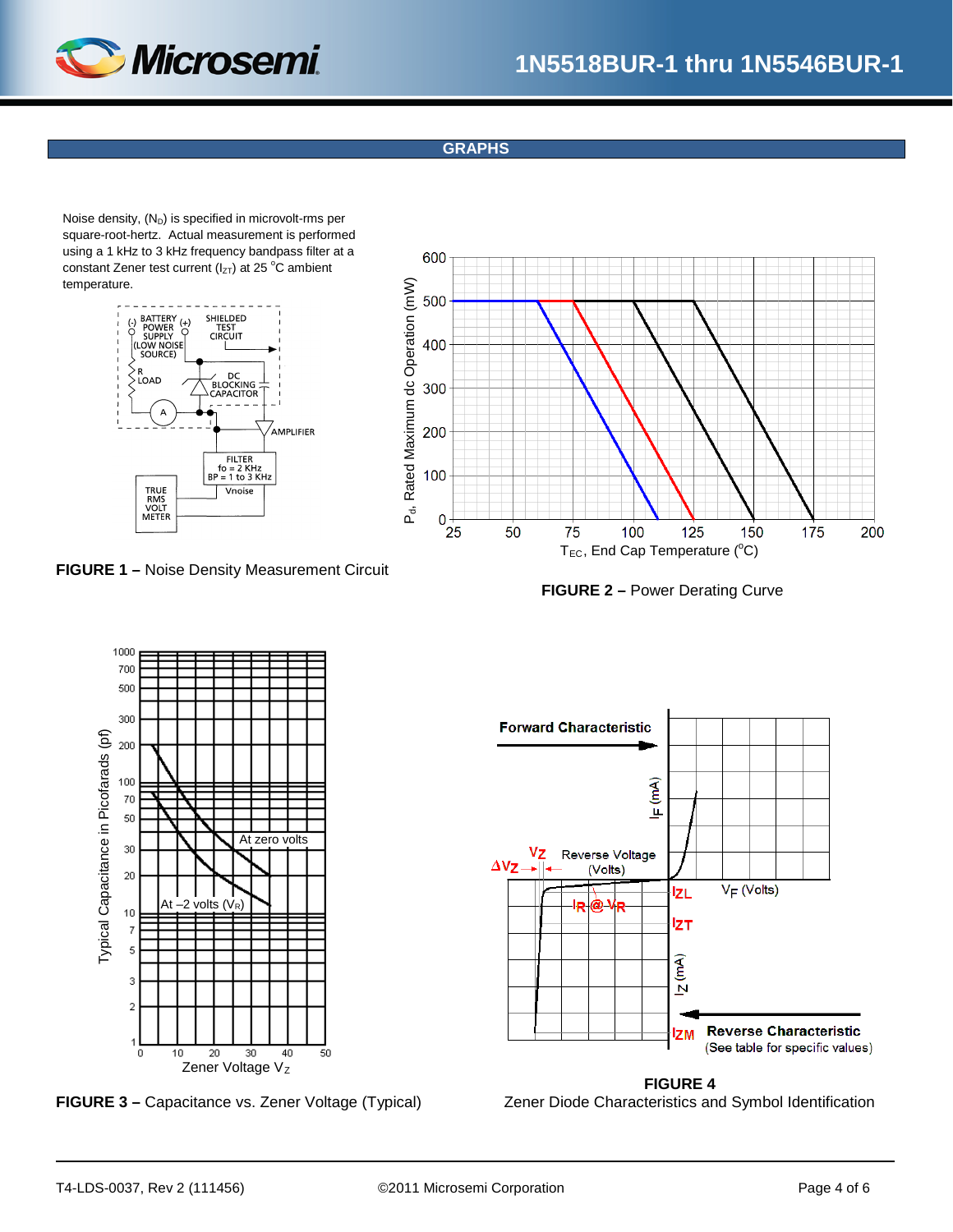

## **GRAPHS**

Noise density,  $(N_D)$  is specified in microvolt-rms per square-root-hertz. Actual measurement is performed using a 1 kHz to 3 kHz frequency bandpass filter at a constant Zener test current ( $I_{ZT}$ ) at 25 °C ambient temperature.



**FIGURE 1 –** Noise Density Measurement Circuit

<span id="page-3-1"></span>





<span id="page-3-0"></span>



**FIGURE 4 FIGURE 3 –** Capacitance vs. Zener Voltage (Typical) Zener Diode Characteristics and Symbol Identification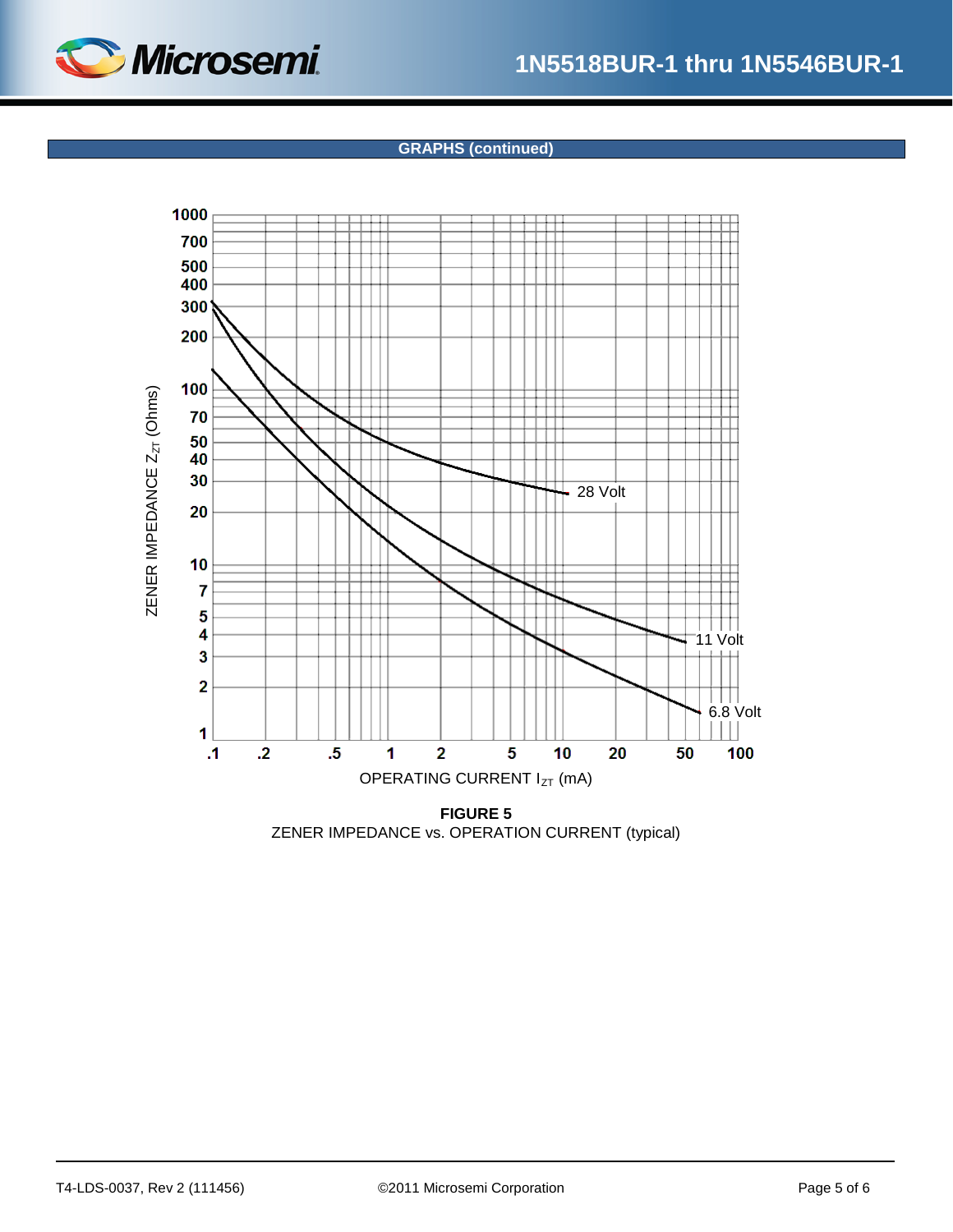

## **GRAPHS (continued)**



**FIGURE 5** ZENER IMPEDANCE vs. OPERATION CURRENT (typical)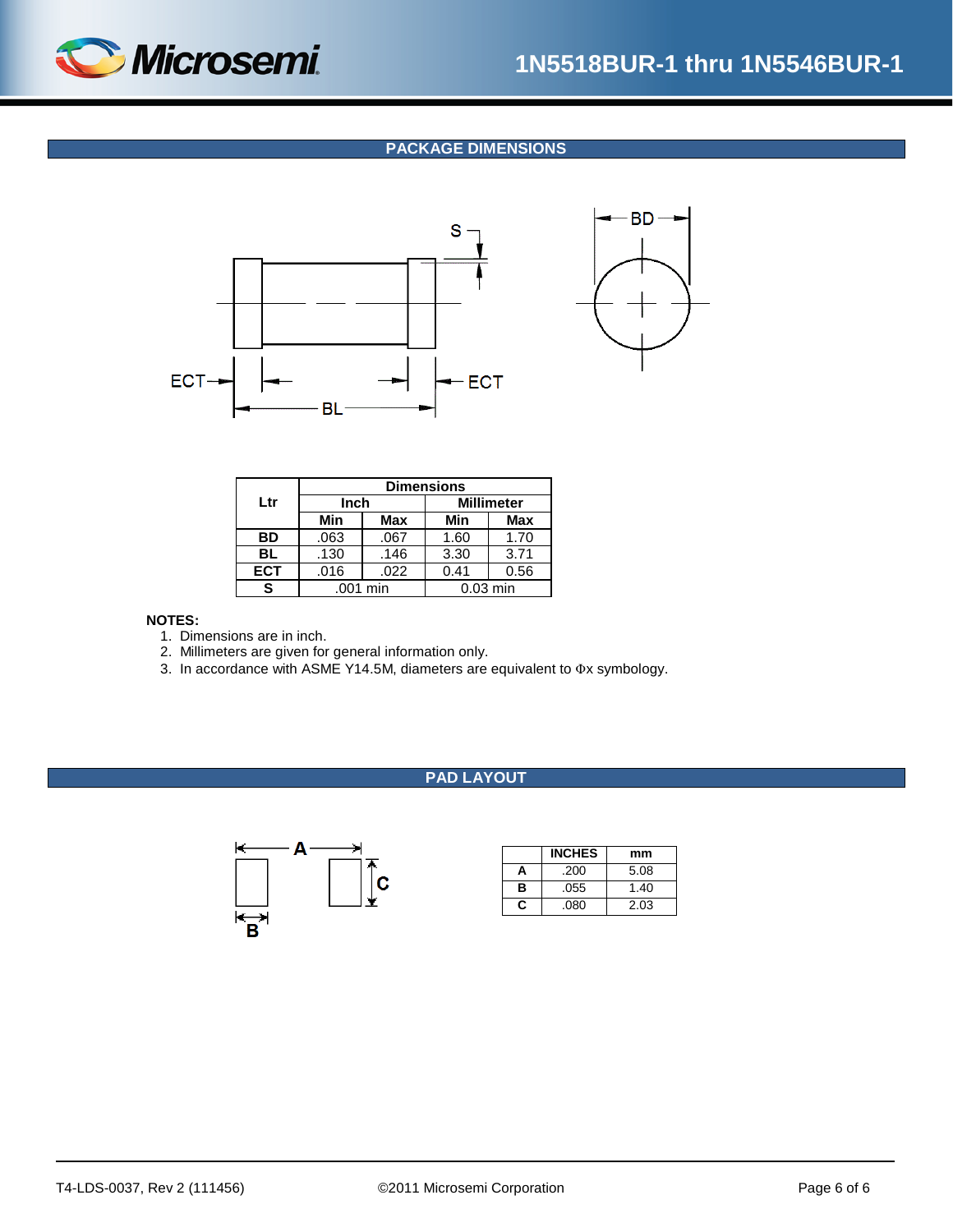

**BD** 

## **PACKAGE DIMENSIONS**

<span id="page-5-0"></span>

|            | <b>Dimensions</b> |          |                   |            |  |  |
|------------|-------------------|----------|-------------------|------------|--|--|
| Ltr        | Inch              |          | <b>Millimeter</b> |            |  |  |
|            | Min               | Max      | Min               | <b>Max</b> |  |  |
| <b>BD</b>  | .063              | .067     | 1.60              | 1.70       |  |  |
| BL         | .130              | .146     | 3.30              | 3.71       |  |  |
| <b>ECT</b> | .016              | .022     | 0.41              | 0.56       |  |  |
| S          |                   | .001 min |                   | $0.03$ min |  |  |

#### **NOTES:**

- 1. Dimensions are in inch.
- 2. Millimeters are given for general information only.
- 3. In accordance with ASME Y14.5M, diameters are equivalent to Φx symbology.

#### **PAD LAYOUT**



|   | <b>INCHES</b> | mm   |
|---|---------------|------|
| А | .200          | 5.08 |
| в | .055          | 1.40 |
| c | .080          | 2.03 |